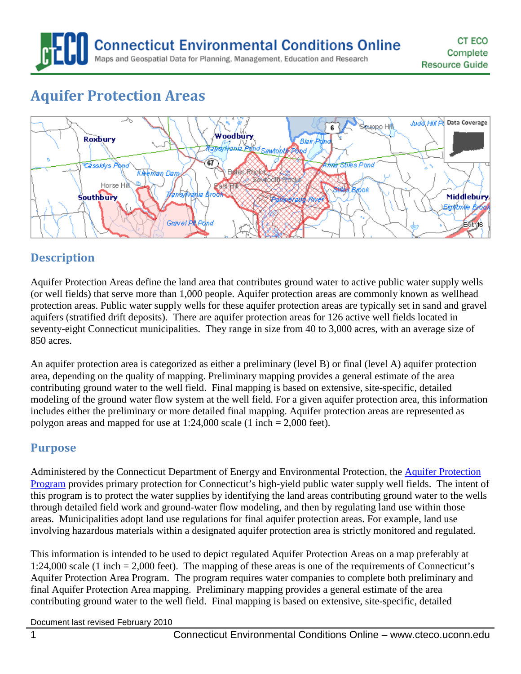# **Aquifer Protection Areas**



# **Description**

Aquifer Protection Areas define the land area that contributes ground water to active public water supply wells (or well fields) that serve more than 1,000 people. Aquifer protection areas are commonly known as wellhead protection areas. Public water supply wells for these aquifer protection areas are typically set in sand and gravel aquifers (stratified drift deposits). There are aquifer protection areas for 126 active well fields located in seventy-eight Connecticut municipalities. They range in size from 40 to 3,000 acres, with an average size of 850 acres.

An aquifer protection area is categorized as either a preliminary (level B) or final (level A) aquifer protection area, depending on the quality of mapping. Preliminary mapping provides a general estimate of the area contributing ground water to the well field. Final mapping is based on extensive, site-specific, detailed modeling of the ground water flow system at the well field. For a given aquifer protection area, this information includes either the preliminary or more detailed final mapping. Aquifer protection areas are represented as polygon areas and mapped for use at 1:24,000 scale (1 inch = 2,000 feet).

### **Purpose**

Administered by the Connecticut Department of Energy and Environmental Protection, the **Aquifer Protection** [Program](http://www.ct.gov/dep/aquiferprotection) provides primary protection for Connecticut's high-yield public water supply well fields. The intent of this program is to protect the water supplies by identifying the land areas contributing ground water to the wells through detailed field work and ground-water flow modeling, and then by regulating land use within those areas. Municipalities adopt land use regulations for final aquifer protection areas. For example, land use involving hazardous materials within a designated aquifer protection area is strictly monitored and regulated.

This information is intended to be used to depict regulated Aquifer Protection Areas on a map preferably at 1:24,000 scale (1 inch = 2,000 feet). The mapping of these areas is one of the requirements of Connecticut's Aquifer Protection Area Program. The program requires water companies to complete both preliminary and final Aquifer Protection Area mapping. Preliminary mapping provides a general estimate of the area contributing ground water to the well field. Final mapping is based on extensive, site-specific, detailed

Document last revised February 2010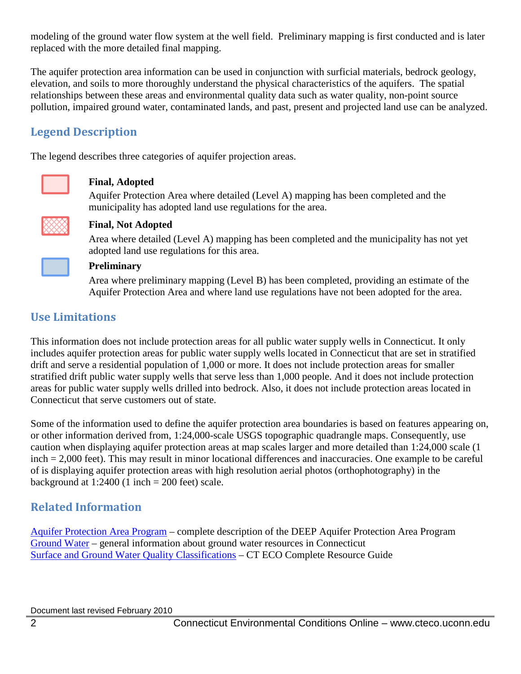modeling of the ground water flow system at the well field. Preliminary mapping is first conducted and is later replaced with the more detailed final mapping.

The aquifer protection area information can be used in conjunction with surficial materials, bedrock geology, elevation, and soils to more thoroughly understand the physical characteristics of the aquifers. The spatial relationships between these areas and environmental quality data such as water quality, non-point source pollution, impaired ground water, contaminated lands, and past, present and projected land use can be analyzed.

# **Legend Description**

The legend describes three categories of aquifer projection areas.



#### **Final, Adopted**

Aquifer Protection Area where detailed (Level A) mapping has been completed and the municipality has adopted land use regulations for the area.



#### **Final, Not Adopted**

Area where detailed (Level A) mapping has been completed and the municipality has not yet adopted land use regulations for this area.



#### **Preliminary**

Area where preliminary mapping (Level B) has been completed, providing an estimate of the Aquifer Protection Area and where land use regulations have not been adopted for the area.

# **Use Limitations**

This information does not include protection areas for all public water supply wells in Connecticut. It only includes aquifer protection areas for public water supply wells located in Connecticut that are set in stratified drift and serve a residential population of 1,000 or more. It does not include protection areas for smaller stratified drift public water supply wells that serve less than 1,000 people. And it does not include protection areas for public water supply wells drilled into bedrock. Also, it does not include protection areas located in Connecticut that serve customers out of state.

Some of the information used to define the aquifer protection area boundaries is based on features appearing on, or other information derived from, 1:24,000-scale USGS topographic quadrangle maps. Consequently, use caution when displaying aquifer protection areas at map scales larger and more detailed than 1:24,000 scale (1 inch = 2,000 feet). This may result in minor locational differences and inaccuracies. One example to be careful of is displaying aquifer protection areas with high resolution aerial photos (orthophotography) in the background at  $1:2400$  (1 inch = 200 feet) scale.

# **Related Information**

[Aquifer Protection Area](http://www.ct.gov/dep/aquiferprotection) Program – complete description of the DEEP Aquifer Protection Area Program [Ground Water](http://www.ct.gov/dep/cwp/view.asp?a=2685&q=322260&depNav_GID=1625&depNav=|) – general information about ground water resources in Connecticut [Surface and Ground Water Quality Classifications](http://cteco.uconn.edu/guides/resource/CT_ECO_Resource_Guide_Water_Quality_Classifications.pdf) – CT ECO Complete Resource Guide

Document last revised February 2010